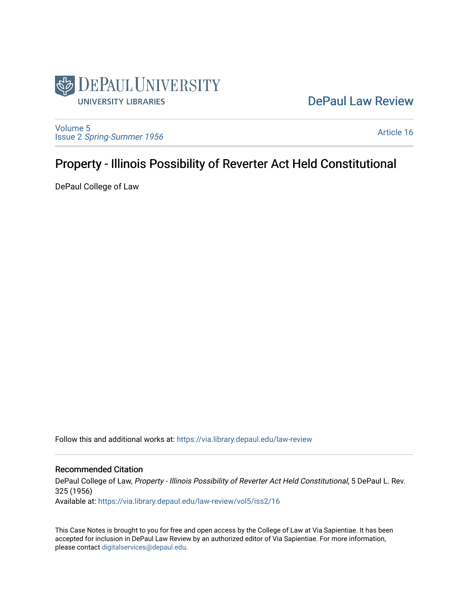

## [DePaul Law Review](https://via.library.depaul.edu/law-review)

[Volume 5](https://via.library.depaul.edu/law-review/vol5) Issue 2 [Spring-Summer 1956](https://via.library.depaul.edu/law-review/vol5/iss2) 

[Article 16](https://via.library.depaul.edu/law-review/vol5/iss2/16) 

# Property - Illinois Possibility of Reverter Act Held Constitutional

DePaul College of Law

Follow this and additional works at: [https://via.library.depaul.edu/law-review](https://via.library.depaul.edu/law-review?utm_source=via.library.depaul.edu%2Flaw-review%2Fvol5%2Fiss2%2F16&utm_medium=PDF&utm_campaign=PDFCoverPages) 

### Recommended Citation

DePaul College of Law, Property - Illinois Possibility of Reverter Act Held Constitutional, 5 DePaul L. Rev. 325 (1956) Available at: [https://via.library.depaul.edu/law-review/vol5/iss2/16](https://via.library.depaul.edu/law-review/vol5/iss2/16?utm_source=via.library.depaul.edu%2Flaw-review%2Fvol5%2Fiss2%2F16&utm_medium=PDF&utm_campaign=PDFCoverPages) 

This Case Notes is brought to you for free and open access by the College of Law at Via Sapientiae. It has been accepted for inclusion in DePaul Law Review by an authorized editor of Via Sapientiae. For more information, please contact [digitalservices@depaul.edu.](mailto:digitalservices@depaul.edu)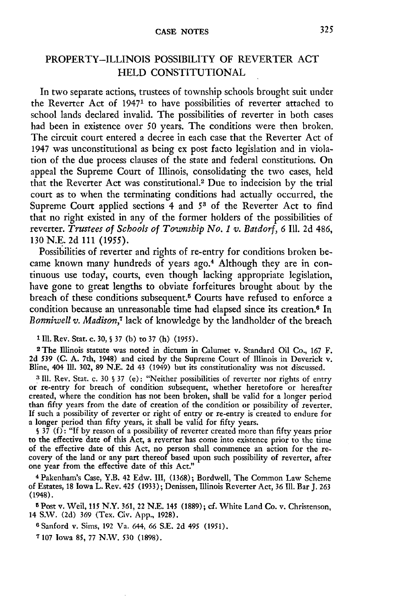#### **CASE NOTES**

### PROPERTY-ILLINOIS POSSIBILITY OF REVERTER ACT HELD CONSTITUTIONAL

In two separate actions, trustees of township schools brought suit under the Reverter Act of 19471 to have possibilities of reverter attached to school lands declared invalid. The possibilities of reverter in both cases had been in existence over 50 years. The conditions were then broken. The circuit court entered a decree in each case that the Reverter Act of 1947 was unconstitutional as being ex post facto legislation and in violation of the due process clauses of the state and federal constitutions. On appeal the Supreme Court of Illinois, consolidating the two cases, held that the Reverter Act was constitutional.2 Due to indecision by the trial court as to when the terminating conditions had actually occurred, the Supreme Court applied sections 4 and *53* of the Reverter Act to find that no right existed in any of the former holders of the possibilities of reverter. *Trustees of Schools of Township No. 1 v. Batdorf*, 6 Ill. 2d 486, 130 N.E. 2d 111 (1955).

Possibilities of reverter and rights of re-entry for conditions broken became known many hundreds of years ago.4 Although they are in continuous use today, courts, even though lacking appropriate legislation, have gone to great lengths to obviate forfeitures brought about by the breach of these conditions subsequent.<sup>5</sup> Courts have refused to enforce a condition because an unreasonable time had elapsed since its creation.<sup>6</sup> In *Bonniwell v. Madison,7* lack of knowledge by the landholder of the breach

**<sup>1</sup>**Ill. Rev. Star. c. 30, **S** 37 (b) to 37 (h) **(1955).** <sup>2</sup> The Illinois statute was noted in dictum in Calumet v. Standard Oil Co., 167 F. 2d **539** (C. A. 7th, 1948) and cited by the Supreme Court of Illinois in Deverick v. Bline, 404 **111.** 302, 89 N.E. 2d 43 (1949) but its constitutionality was not discussed.

**<sup>3</sup>**Ill. Rev. Stat. c. 30 **§** 37 (e): "Neither possibilities of reverter nor rights of entry or re-entry for breach of condition subsequent, whether heretofore or hereafter created, where the condition has not been broken, shall be valid for a longer period than fifty years from the date of creation of the condition or possibility of reverter. If such a possibility of reverter or right of entry or re-entry is created to endure for a longer period than fifty years, it shall be valid for fifty years.

§ 37 (f): "If by reason of a possibility of reverter created more than fifty years prior to the effective date of this Act, a reverter has come into existence prior to the time of the effective date of this Act, no person shall commence an action for the re- covery of the land or any part thereof based upon such possibility of reverter, after one year from the effective date of this Act."

4 Pakenham's Case, Y.B. 42 Edw. III, (1368); Bordwell, The Common Law Scheme of Estates, 18 Iowa L. Rev. 425 (1933); Denissen, Illinois Reverter Act, 36 Ill. Bar J. 263 (1948).

**5** Post v. Weil, **115** N.Y. 361, 22 N.E. 145 (1889); **cf.** White Land Co. v. Christenson, 14 S.W. (2d) 369 (Tex. Civ. App., 1928).

**6** Sanford v. Sims, 192 Va. 644, 66 S.E. 2d **495 (1951).**

**7** 107 Iowa **85,** 77 N.W. **530** (1898).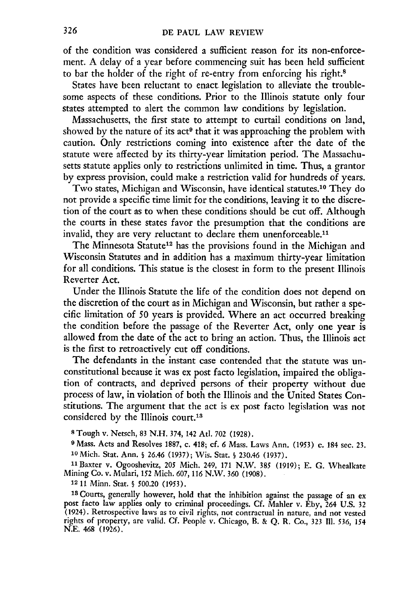of the condition was considered a sufficient reason for its non-enforcement. **A** delay of a year before commencing suit has been **held** sufficient to bar the holder of the right of re-entry from enforcing his right.<sup>8</sup>

States have been reluctant to enact legislation to alleviate the troublesome aspects of these conditions. Prior to the Illinois statute only four states attempted to alert the common law conditions **by** legislation.

Massachusetts, the first state to attempt to curtail conditions on land, showed by the nature of its act<sup>9</sup> that it was approaching the problem with caution. Only restrictions coming into existence after the date of the statute were affected **by** its thirty-year limitation period. The Massachusetts statute applies only to restrictions unlimited in time. Thus, a grantor **by** express provision, could make a restriction valid for hundreds of years.

Two states, Michigan and Wisconsin, have identical statutes. 10 They do not provide a specific time limit for the conditions, leaving it to the discretion of the court as to when these conditions should be cut off. Although the courts in these states favor the presumption that the conditions are invalid, they are very reluctant to declare them unenforceable.<sup>11</sup>

The Minnesota Statute<sup>12</sup> has the provisions found in the Michigan and Wisconsin Statutes and in addition has a maximum thirty-year limitation for all conditions. This statue is the closest in form to the present Illinois Reverter Act.

Under the Illinois Statute the life of the condition does not depend on the discretion of the court as in Michigan and Wisconsin, but rather a specific limitation of **50** years is provided. Where an act occurred breaking the condition before the passage of the Reverter Act, only one year is allowed from the date of the act to bring an action. Thus, the Illinois act is the first to retroactively cut off conditions.

The defendants in the instant case contended that the statute was unconstitutional because it was ex post facto legislation, impaired the obligation of contracts, and deprived persons of their property without due process of law, in violation of both the Illinois and the United States Constitutions. The argument that the act is ex post facto legislation was not considered **by** the Illinois court.'<sup>3</sup>

**8** Tough v. Netsch, **83 N.H.** 374, 142 At. **702 (1928).**

**<sup>9</sup>**Mass. Acts and Resolves **1887,** c. 418; **cf. 6** Mass. Laws Ann. **(1953)** c. 184 sec. **23. 10** Mich. Stat. Ann. § 26.46 **(1937);** Wis. Star. **§** 230.46 **(1937).**

11Baxter v. Ogooshevitz, *205* Mich. 249, **171** N.W. **385 (1919); E. G.** Whealkate Mining Co. v. Mulari, **152** Mich. **607, 116** N.W. **360 (1908).**

**12 11** Minn. Stat. **§** 500.20 (1953).

**<sup>19</sup>**Courts, generally however, hold that the inhibition against the passage of an ex post facto law applies only to criminal proceedings. Cf. Mahler v. Eby, 264 U.S. 32 (1924). Retrospective laws as to civil rights, not contractual in nature, and not vested rights of property, are valid. **Cf.** People v. Chicago, B. & Q. R. Co., 323 **II1.** 536, *<sup>154</sup>* N.E. 468 (1926).